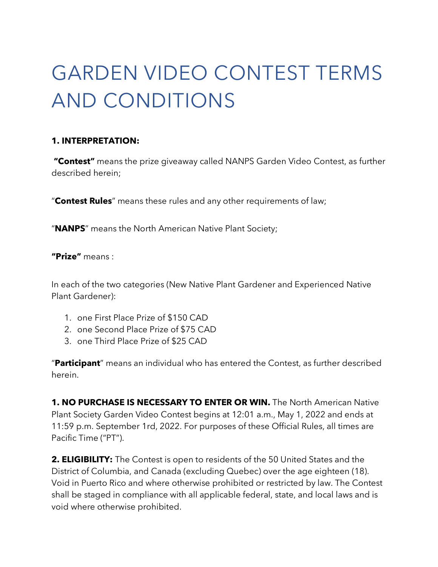# GARDEN VIDEO CONTEST TERMS AND CONDITIONS

### **1. INTERPRETATION:**

**"Contest"** means the prize giveaway called NANPS Garden Video Contest, as further described herein;

"**Contest Rules**" means these rules and any other requirements of law;

"**NANPS**" means the North American Native Plant Society;

**"Prize"** means :

In each of the two categories (New Native Plant Gardener and Experienced Native Plant Gardener):

- 1. one First Place Prize of \$150 CAD
- 2. one Second Place Prize of \$75 CAD
- 3. one Third Place Prize of \$25 CAD

"**Participant**" means an individual who has entered the Contest, as further described herein.

**1. NO PURCHASE IS NECESSARY TO ENTER OR WIN.** The North American Native Plant Society Garden Video Contest begins at 12:01 a.m., May 1, 2022 and ends at 11:59 p.m. September 1rd, 2022. For purposes of these Official Rules, all times are Pacific Time ("PT").

**2. ELIGIBILITY:** The Contest is open to residents of the 50 United States and the District of Columbia, and Canada (excluding Quebec) over the age eighteen (18). Void in Puerto Rico and where otherwise prohibited or restricted by law. The Contest shall be staged in compliance with all applicable federal, state, and local laws and is void where otherwise prohibited.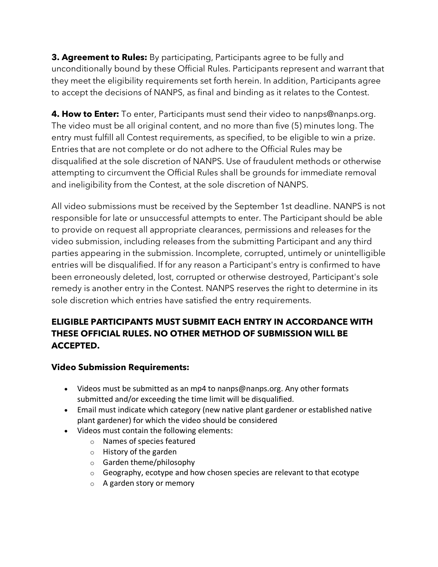**3. Agreement to Rules:** By participating, Participants agree to be fully and unconditionally bound by these Official Rules. Participants represent and warrant that they meet the eligibility requirements set forth herein. In addition, Participants agree to accept the decisions of NANPS, as final and binding as it relates to the Contest.

**4. How to Enter:** To enter, Participants must send their video to nanps@nanps.org. The video must be all original content, and no more than five (5) minutes long. The entry must fulfill all Contest requirements, as specified, to be eligible to win a prize. Entries that are not complete or do not adhere to the Official Rules may be disqualified at the sole discretion of NANPS. Use of fraudulent methods or otherwise attempting to circumvent the Official Rules shall be grounds for immediate removal and ineligibility from the Contest, at the sole discretion of NANPS.

All video submissions must be received by the September 1st deadline. NANPS is not responsible for late or unsuccessful attempts to enter. The Participant should be able to provide on request all appropriate clearances, permissions and releases for the video submission, including releases from the submitting Participant and any third parties appearing in the submission. Incomplete, corrupted, untimely or unintelligible entries will be disqualified. If for any reason a Participant's entry is confirmed to have been erroneously deleted, lost, corrupted or otherwise destroyed, Participant's sole remedy is another entry in the Contest. NANPS reserves the right to determine in its sole discretion which entries have satisfied the entry requirements.

# **ELIGIBLE PARTICIPANTS MUST SUBMIT EACH ENTRY IN ACCORDANCE WITH THESE OFFICIAL RULES. NO OTHER METHOD OF SUBMISSION WILL BE ACCEPTED.**

## **Video Submission Requirements:**

- Videos must be submitted as an mp4 to nanps@nanps.org. Any other formats submitted and/or exceeding the time limit will be disqualified.
- Email must indicate which category (new native plant gardener or established native plant gardener) for which the video should be considered
- Videos must contain the following elements:
	- o Names of species featured
	- o History of the garden
	- o Garden theme/philosophy
	- $\circ$  Geography, ecotype and how chosen species are relevant to that ecotype
	- o A garden story or memory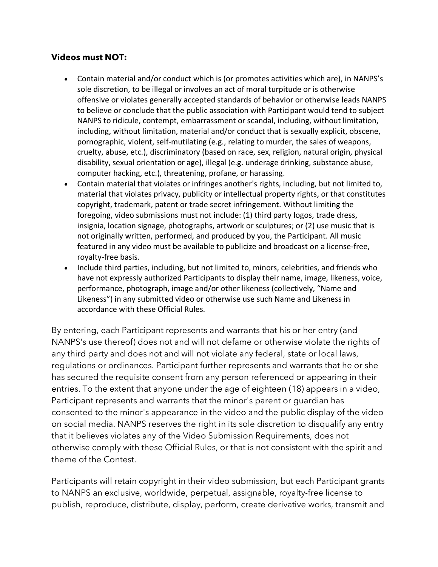#### **Videos must NOT:**

- Contain material and/or conduct which is (or promotes activities which are), in NANPS's sole discretion, to be illegal or involves an act of moral turpitude or is otherwise offensive or violates generally accepted standards of behavior or otherwise leads NANPS to believe or conclude that the public association with Participant would tend to subject NANPS to ridicule, contempt, embarrassment or scandal, including, without limitation, including, without limitation, material and/or conduct that is sexually explicit, obscene, pornographic, violent, self-mutilating (e.g., relating to murder, the sales of weapons, cruelty, abuse, etc.), discriminatory (based on race, sex, religion, natural origin, physical disability, sexual orientation or age), illegal (e.g. underage drinking, substance abuse, computer hacking, etc.), threatening, profane, or harassing.
- Contain material that violates or infringes another's rights, including, but not limited to, material that violates privacy, publicity or intellectual property rights, or that constitutes copyright, trademark, patent or trade secret infringement. Without limiting the foregoing, video submissions must not include: (1) third party logos, trade dress, insignia, location signage, photographs, artwork or sculptures; or (2) use music that is not originally written, performed, and produced by you, the Participant. All music featured in any video must be available to publicize and broadcast on a license-free, royalty-free basis.
- Include third parties, including, but not limited to, minors, celebrities, and friends who have not expressly authorized Participants to display their name, image, likeness, voice, performance, photograph, image and/or other likeness (collectively, "Name and Likeness") in any submitted video or otherwise use such Name and Likeness in accordance with these Official Rules.

By entering, each Participant represents and warrants that his or her entry (and NANPS's use thereof) does not and will not defame or otherwise violate the rights of any third party and does not and will not violate any federal, state or local laws, regulations or ordinances. Participant further represents and warrants that he or she has secured the requisite consent from any person referenced or appearing in their entries. To the extent that anyone under the age of eighteen (18) appears in a video, Participant represents and warrants that the minor's parent or guardian has consented to the minor's appearance in the video and the public display of the video on social media. NANPS reserves the right in its sole discretion to disqualify any entry that it believes violates any of the Video Submission Requirements, does not otherwise comply with these Official Rules, or that is not consistent with the spirit and theme of the Contest.

Participants will retain copyright in their video submission, but each Participant grants to NANPS an exclusive, worldwide, perpetual, assignable, royalty-free license to publish, reproduce, distribute, display, perform, create derivative works, transmit and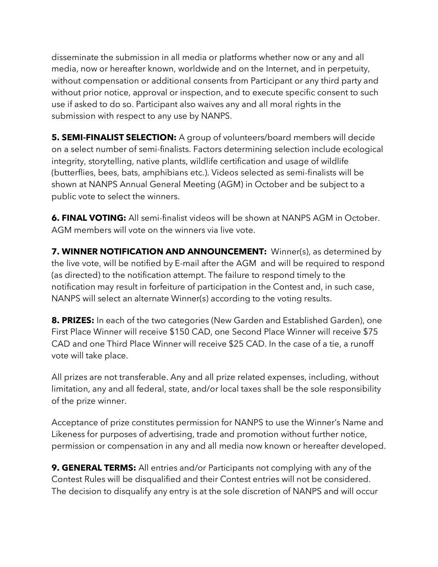disseminate the submission in all media or platforms whether now or any and all media, now or hereafter known, worldwide and on the Internet, and in perpetuity, without compensation or additional consents from Participant or any third party and without prior notice, approval or inspection, and to execute specific consent to such use if asked to do so. Participant also waives any and all moral rights in the submission with respect to any use by NANPS.

**5. SEMI-FINALIST SELECTION:** A group of volunteers/board members will decide on a select number of semi-finalists. Factors determining selection include ecological integrity, storytelling, native plants, wildlife certification and usage of wildlife (butterflies, bees, bats, amphibians etc.). Videos selected as semi-finalists will be shown at NANPS Annual General Meeting (AGM) in October and be subject to a public vote to select the winners.

**6. FINAL VOTING:** All semi-finalist videos will be shown at NANPS AGM in October. AGM members will vote on the winners via live vote.

**7. WINNER NOTIFICATION AND ANNOUNCEMENT:** Winner(s), as determined by the live vote, will be notified by E-mail after the AGM and will be required to respond (as directed) to the notification attempt. The failure to respond timely to the notification may result in forfeiture of participation in the Contest and, in such case, NANPS will select an alternate Winner(s) according to the voting results.

**8. PRIZES:** In each of the two categories (New Garden and Established Garden), one First Place Winner will receive \$150 CAD, one Second Place Winner will receive \$75 CAD and one Third Place Winner will receive \$25 CAD. In the case of a tie, a runoff vote will take place.

All prizes are not transferable. Any and all prize related expenses, including, without limitation, any and all federal, state, and/or local taxes shall be the sole responsibility of the prize winner.

Acceptance of prize constitutes permission for NANPS to use the Winner's Name and Likeness for purposes of advertising, trade and promotion without further notice, permission or compensation in any and all media now known or hereafter developed.

**9. GENERAL TERMS:** All entries and/or Participants not complying with any of the Contest Rules will be disqualified and their Contest entries will not be considered. The decision to disqualify any entry is at the sole discretion of NANPS and will occur